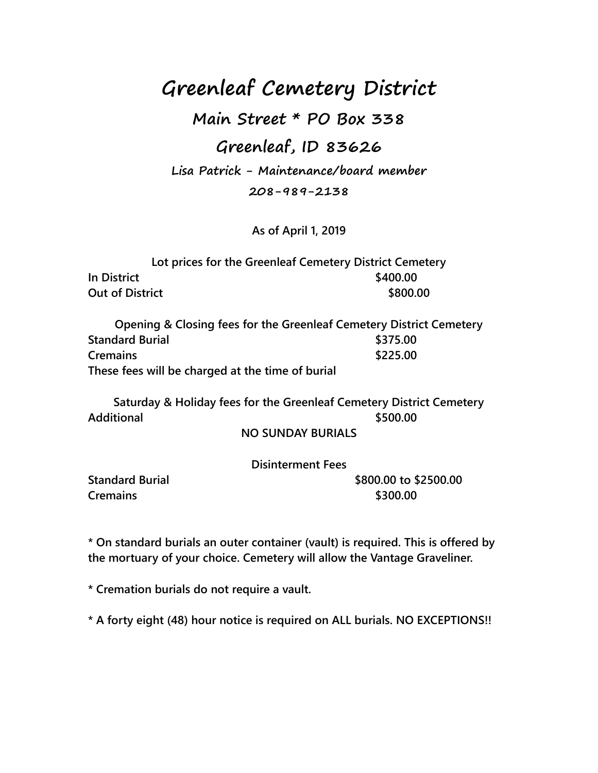**Greenleaf Cemetery District**

**Main Street \* PO Box 338**

### **Greenleaf, ID 83626**

**Lisa Patrick - Maintenance/board member**

**208-989-2138**

**As of April 1, 2019**

|                        | Lot prices for the Greenleaf Cemetery District Cemetery |          |
|------------------------|---------------------------------------------------------|----------|
| In District            |                                                         | \$400.00 |
| <b>Out of District</b> |                                                         | \$800.00 |

**Opening & Closing fees for the Greenleaf Cemetery District Cemetery Standard Burial \$375.00 Cremains \$225.00 These fees will be charged at the time of burial**

**Saturday & Holiday fees for the Greenleaf Cemetery District Cemetery Additional \$500.00**

#### **NO SUNDAY BURIALS**

#### **Disinterment Fees**

**Cremains \$300.00**

**Standard Burial 3800.00 to \$2500.00** 

**\* On standard burials an outer container (vault) is required. This is offered by the mortuary of your choice. Cemetery will allow the Vantage Graveliner.**

**\* Cremation burials do not require a vault.**

**\* A forty eight (48) hour notice is required on ALL burials. NO EXCEPTIONS!!**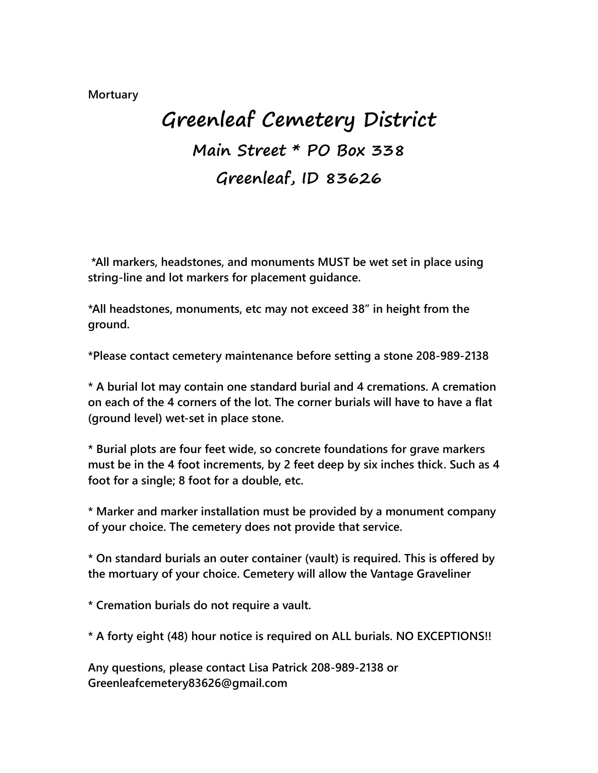#### **Mortuary**

# **Greenleaf Cemetery District Main Street \* PO Box 338 Greenleaf, ID 83626**

**\*All markers, headstones, and monuments MUST be wet set in place using string-line and lot markers for placement guidance.**

**\*All headstones, monuments, etc may not exceed 38" in height from the ground.** 

**\*Please contact cemetery maintenance before setting a stone 208-989-2138**

**\* A burial lot may contain one standard burial and 4 cremations. A cremation on each of the 4 corners of the lot. The corner burials will have to have a flat (ground level) wet-set in place stone.** 

**\* Burial plots are four feet wide, so concrete foundations for grave markers must be in the 4 foot increments, by 2 feet deep by six inches thick. Such as 4 foot for a single; 8 foot for a double, etc.**

**\* Marker and marker installation must be provided by a monument company of your choice. The cemetery does not provide that service.** 

**\* On standard burials an outer container (vault) is required. This is offered by the mortuary of your choice. Cemetery will allow the Vantage Graveliner**

**\* Cremation burials do not require a vault.**

**\* A forty eight (48) hour notice is required on ALL burials. NO EXCEPTIONS!!**

**Any questions, please contact Lisa Patrick 208-989-2138 or Greenleafcemetery83626@gmail.com**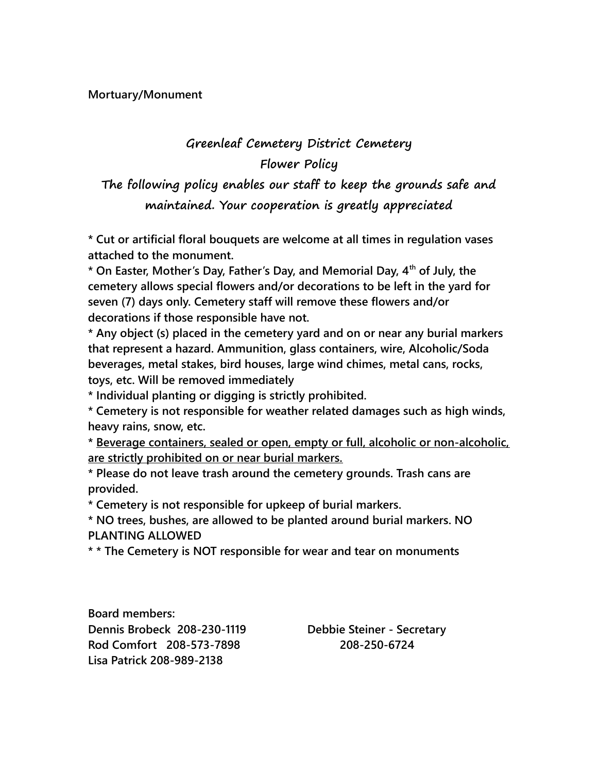## **Greenleaf Cemetery District Cemetery Flower Policy**

**The following policy enables our staff to keep the grounds safe and maintained. Your cooperation is greatly appreciated**

**\* Cut or artificial floral bouquets are welcome at all times in regulation vases attached to the monument.**

**\* On Easter, Mother's Day, Father's Day, and Memorial Day, 4th of July, the cemetery allows special flowers and/or decorations to be left in the yard for seven (7) days only. Cemetery staff will remove these flowers and/or decorations if those responsible have not.**

**\* Any object (s) placed in the cemetery yard and on or near any burial markers that represent a hazard. Ammunition, glass containers, wire, Alcoholic/Soda beverages, metal stakes, bird houses, large wind chimes, metal cans, rocks, toys, etc. Will be removed immediately**

**\* Individual planting or digging is strictly prohibited.**

**\* Cemetery is not responsible for weather related damages such as high winds, heavy rains, snow, etc.**

**\* Beverage containers, sealed or open, empty or full, alcoholic or non-alcoholic, are strictly prohibited on or near burial markers.**

**\* Please do not leave trash around the cemetery grounds. Trash cans are provided.**

**\* Cemetery is not responsible for upkeep of burial markers.**

**\* NO trees, bushes, are allowed to be planted around burial markers. NO PLANTING ALLOWED**

**\* \* The Cemetery is NOT responsible for wear and tear on monuments**

**Board members: Dennis Brobeck 208-230-1119 Debbie Steiner - Secretary Rod Comfort 208-573-7898 208-250-6724 Lisa Patrick 208-989-2138**